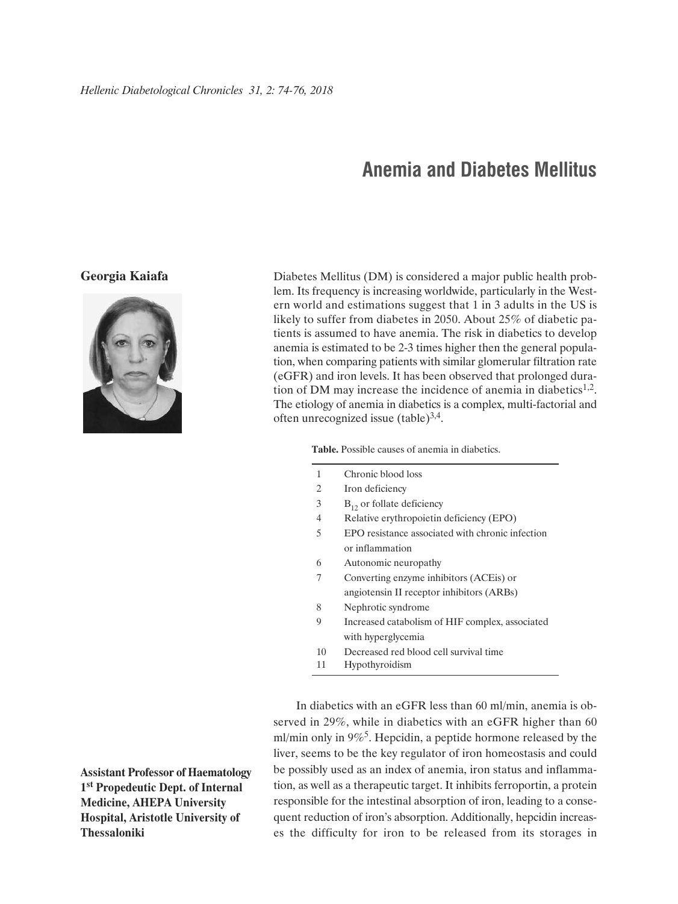## **Anemia and Diabetes Mellitus**

## **Georgia Kaiafa**



Diabetes Mellitus (DM) is considered a major public health problem. Its frequency is increasing worldwide, particularly in the Western world and estimations suggest that 1 in 3 adults in the US is likely to suffer from diabetes in 2050. About 25% of diabetic patients is assumed to have anemia. The risk in diabetics to develop anemia is estimated to be 2-3 times higher then the general population, when comparing patients with similar glomerular filtration rate (eGFR) and iron levels. It has been observed that prolonged duration of DM may increase the incidence of anemia in diabetics<sup>1,2</sup>. The etiology of anemia in diabetics is a complex, multi-factorial and often unrecognized issue  $(table)^{3,4}$ .

**Table.** Possible causes of anemia in diabetics.

- 2 Iron deficiency
- $B_{12}$  or follate deficiency
- 4 Relative erythropoietin deficiency (EPO)
- 5 EPO resistance associated with chronic infection or inflammation
- 6 Autonomic neuropathy
- 7 Converting enzyme inhibitors (ACEis) or angiotensin II receptor inhibitors (ARBs)
- 8 Nephrotic syndrome
- 9 Increased catabolism of HIF complex, associated with hyperglycemia
- 10 Decreased red blood cell survival time
- 11 Hypothyroidism

In diabetics with an eGFR less than 60 ml/min, anemia is observed in 29%, while in diabetics with an eGFR higher than 60 ml/min only in  $9\%$ <sup>5</sup>. Hepcidin, a peptide hormone released by the liver, seems to be the key regulator of iron homeostasis and could be possibly used as an index of anemia, iron status and inflammation, as well as a therapeutic target. It inhibits ferroportin, a protein responsible for the intestinal absorption of iron, leading to a consequent reduction of iron's absorption. Additionally, hepcidin increases the difficulty for iron to be released from its storages in

**Assistant Professor of Haematology 1st Propedeutic Dept. of Internal Medicine, AHEPA University Hospital, Aristotle University of Thessaloniki**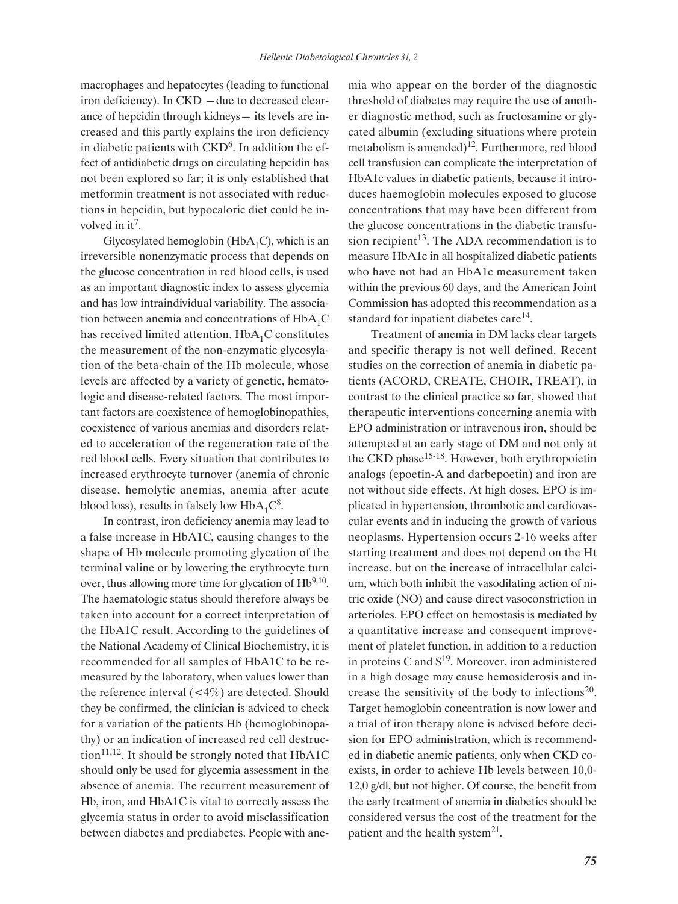macrophages and hepatocytes (leading to functional iron deficiency). In CKD ―due to decreased clearance of hepcidin through kidneys― its levels are increased and this partly explains the iron deficiency in diabetic patients with  $CKD<sup>6</sup>$ . In addition the effect of antidiabetic drugs on circulating hepcidin has not been explored so far; it is only established that metformin treatment is not associated with reductions in hepcidin, but hypocaloric diet could be involved in it<sup>7</sup>.

Glycosylated hemoglobin ( $HbA_1C$ ), which is an irreversible nonenzymatic process that depends on the glucose concentration in red blood cells, is used as an important diagnostic index to assess glycemia and has low intraindividual variability. The association between anemia and concentrations of  $HbA_1C$ has received limited attention.  $HbA_1C$  constitutes the measurement of the non-enzymatic glycosylation of the beta-chain of the Hb molecule, whose levels are affected by a variety of genetic, hematologic and disease-related factors. The most important factors are coexistence of hemoglobinopathies, coexistence of various anemias and disorders related to acceleration of the regeneration rate of the red blood cells. Every situation that contributes to increased erythrocyte turnover (anemia of chronic disease, hemolytic anemias, anemia after acute blood loss), results in falsely low  $HbA_1C^8$ .

In contrast, iron deficiency anemia may lead to a false increase in HbA1C, causing changes to the shape of Hb molecule promoting glycation of the terminal valine or by lowering the erythrocyte turn over, thus allowing more time for glycation of  $Hb^{9,10}$ . The haematologic status should therefore always be taken into account for a correct interpretation of the HbA1C result. According to the guidelines of the National Academy of Clinical Biochemistry, it is recommended for all samples of HbA1C to be remeasured by the laboratory, when values lower than the reference interval  $(< 4\%)$  are detected. Should they be confirmed, the clinician is adviced to check for a variation of the patients Hb (hemoglobinopathy) or an indication of increased red cell destruction<sup>11,12</sup>. It should be strongly noted that  $HbA1C$ should only be used for glycemia assessment in the absence of anemia. The recurrent measurement of Hb, iron, and HbA1C is vital to correctly assess the glycemia status in order to avoid misclassification between diabetes and prediabetes. People with anemia who appear on the border of the diagnostic threshold of diabetes may require the use of another diagnostic method, such as fructosamine or glycated albumin (excluding situations where protein metabolism is amended)<sup>12</sup>. Furthermore, red blood cell transfusion can complicate the interpretation of HbA1c values in diabetic patients, because it introduces haemoglobin molecules exposed to glucose concentrations that may have been different from the glucose concentrations in the diabetic transfusion recipient<sup>13</sup>. The ADA recommendation is to measure HbA1c in all hospitalized diabetic patients who have not had an HbA1c measurement taken within the previous 60 days, and the American Joint Commission has adopted this recommendation as a standard for inpatient diabetes care $^{14}$ .

Treatment of anemia in DM lacks clear targets and specific therapy is not well defined. Recent studies on the correction of anemia in diabetic patients (ACORD, CREATE, CHOIR, TREAT), in contrast to the clinical practice so far, showed that therapeutic interventions concerning anemia with EPO administration or intravenous iron, should be attempted at an early stage of DM and not only at the CKD phase<sup>15-18</sup>. However, both erythropoietin analogs (epoetin-A and darbepoetin) and iron are not without side effects. At high doses, EPO is implicated in hypertension, thrombotic and cardiovascular events and in inducing the growth of various neoplasms. Hypertension occurs 2-16 weeks after starting treatment and does not depend on the Ht increase, but on the increase of intracellular calcium, which both inhibit the vasodilating action of nitric oxide (NO) and cause direct vasoconstriction in arterioles. EPO effect on hemostasis is mediated by a quantitative increase and consequent improvement of platelet function, in addition to a reduction in proteins C and  $S^{19}$ . Moreover, iron administered in a high dosage may cause hemosiderosis and increase the sensitivity of the body to infections $20$ . Target hemoglobin concentration is now lower and a trial of iron therapy alone is advised before decision for EPO administration, which is recommended in diabetic anemic patients, only when CKD coexists, in order to achieve Hb levels between 10,0- 12,0 g/dl, but not higher. Of course, the benefit from the early treatment of anemia in diabetics should be considered versus the cost of the treatment for the patient and the health system<sup>21</sup>.